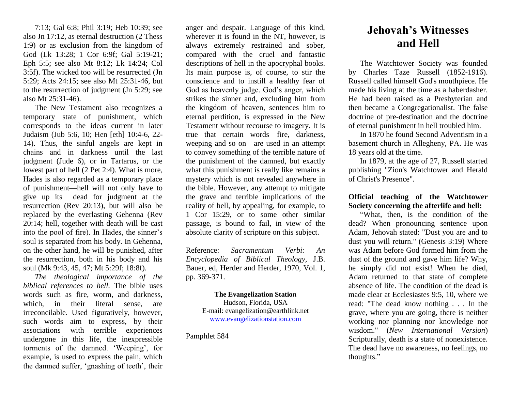7:13; Gal 6:8; Phil 3:19; Heb 10:39; see also Jn 17:12, as eternal destruction (2 Thess 1:9) or as exclusion from the kingdom of God (Lk 13:28; 1 Cor 6:9f; Gal 5:19-21; Eph 5:5; see also Mt 8:12; Lk 14:24; Col 3:5f). The wicked too will be resurrected (Jn 5:29; Acts 24:15; see also Mt 25:31-46, but to the resurrection of judgment (Jn 5:29; see also Mt 25:31-46).

The New Testament also recognizes a temporary state of punishment, which corresponds to the ideas current in later Judaism (Jub 5:6, 10; Hen [eth] 10:4-6, 22- 14). Thus, the sinful angels are kept in chains and in darkness until the last judgment (Jude 6), or in Tartarus, or the lowest part of hell (2 Pet 2:4). What is more, Hades is also regarded as a temporary place of punishment—hell will not only have to give up its dead for judgment at the resurrection (Rev 20:13), but will also be replaced by the everlasting Gehenna (Rev 20:14; hell, together with death will be cast into the pool of fire). In Hades, the sinner's soul is separated from his body. In Gehenna, on the other hand, he will be punished, after the resurrection, both in his body and his soul (Mk 9:43, 45, 47; Mt 5:29f; 18:8f).

*The theological importance of the biblical references to hell.* The bible uses words such as fire, worm, and darkness, which, in their literal sense, are irreconcilable. Used figuratively, however, such words aim to express, by their associations with terrible experiences undergone in this life, the inexpressible torments of the damned. 'Weeping', for example, is used to express the pain, which the damned suffer, 'gnashing of teeth', their

anger and despair. Language of this kind, wherever it is found in the NT, however, is always extremely restrained and sober, compared with the cruel and fantastic descriptions of hell in the apocryphal books. Its main purpose is, of course, to stir the conscience and to instill a healthy fear of God as heavenly judge. God's anger, which strikes the sinner and, excluding him from the kingdom of heaven, sentences him to eternal perdition, is expressed in the New Testament without recourse to imagery. It is true that certain words—fire, darkness, weeping and so on—are used in an attempt to convey something of the terrible nature of the punishment of the damned, but exactly what this punishment is really like remains a mystery which is not revealed anywhere in the bible. However, any attempt to mitigate the grave and terrible implications of the reality of hell, by appealing, for example, to 1 Cor 15:29, or to some other similar passage, is bound to fail, in view of the absolute clarity of scripture on this subject.

Reference: *Sacramentum Verbi: An Encyclopedia of Biblical Theology,* J.B. Bauer, ed, Herder and Herder, 1970, Vol. 1, pp. 369-371.

## **The Evangelization Station** Hudson, Florida, USA E-mail: evangelization@earthlink.net [www.evangelizationstation.com](http://www.pjpiisoe.org/)

Pamphlet 584

## **Jehovah's Witnesses and Hell**

The Watchtower Society was founded by Charles Taze Russell (1852-1916). Russell called himself God's mouthpiece. He made his living at the time as a haberdasher. He had been raised as a Presbyterian and then became a Congregationalist. The false doctrine of pre-destination and the doctrine of eternal punishment in hell troubled him.

In 1870 he found Second Adventism in a basement church in Allegheny, PA. He was 18 years old at the time.

In 1879, at the age of 27, Russell started publishing "Zion's Watchtower and Herald of Christ's Presence".

## **Official teaching of the Watchtower Society concerning the afterlife and hell:**

"What, then, is the condition of the dead? When pronouncing sentence upon Adam, Jehovah stated: "Dust you are and to dust you will return." (Genesis 3:19) Where was Adam before God formed him from the dust of the ground and gave him life? Why, he simply did not exist! When he died, Adam returned to that state of complete absence of life. The condition of the dead is made clear at Ecclesiastes 9:5, 10, where we read: "The dead know nothing . . . In the grave, where you are going, there is neither working nor planning nor knowledge nor wisdom." (*New International Version*) Scripturally, death is a state of nonexistence. The dead have no awareness, no feelings, no thoughts."